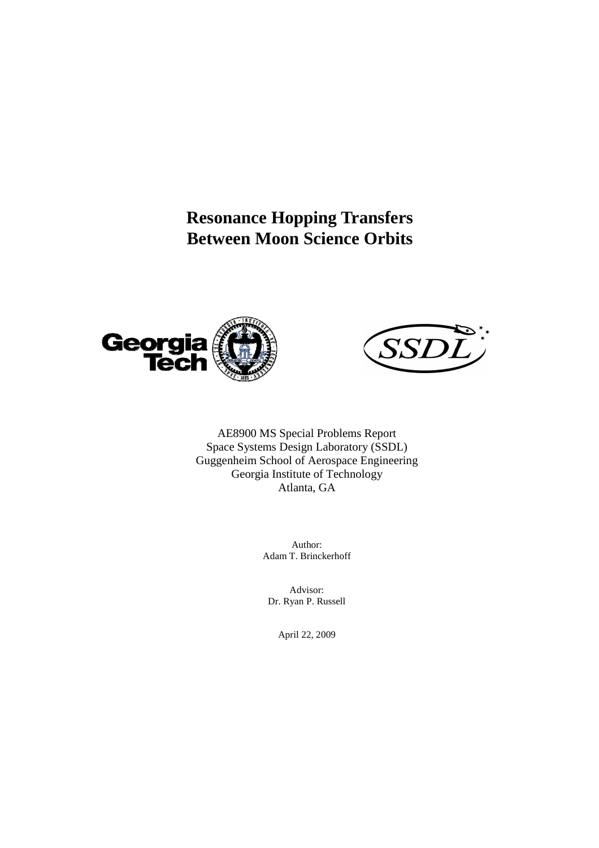# **Resonance Hopping Transfers Between Moon Science Orbits**





AE8900 MS Special Problems Report Space Systems Design Laboratory (SSDL) Guggenheim School of Aerospace Engineering Georgia Institute of Technology Atlanta, GA

> Author: Adam T. Brinckerhoff

Advisor: Dr. Ryan P. Russell

April 22, 2009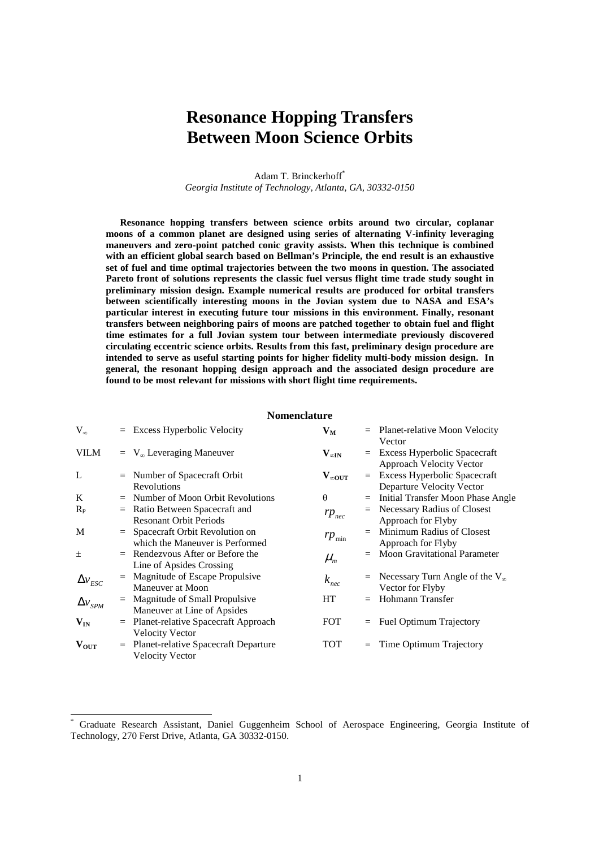## **Resonance Hopping Transfers Between Moon Science Orbits**

Adam T. Brinckerhoff\* *Georgia Institute of Technology, Atlanta, GA, 30332-0150* 

**Resonance hopping transfers between science orbits around two circular, coplanar moons of a common planet are designed using series of alternating V-infinity leveraging maneuvers and zero-point patched conic gravity assists. When this technique is combined with an efficient global search based on Bellman's Principle, the end result is an exhaustive set of fuel and time optimal trajectories between the two moons in question. The associated Pareto front of solutions represents the classic fuel versus flight time trade study sought in preliminary mission design. Example numerical results are produced for orbital transfers between scientifically interesting moons in the Jovian system due to NASA and ESA's particular interest in executing future tour missions in this environment. Finally, resonant transfers between neighboring pairs of moons are patched together to obtain fuel and flight time estimates for a full Jovian system tour between intermediate previously discovered circulating eccentric science orbits. Results from this fast, preliminary design procedure are intended to serve as useful starting points for higher fidelity multi-body mission design. In general, the resonant hopping design approach and the associated design procedure are found to be most relevant for missions with short flight time requirements.** 

## **Nomenclature**

| $V_{\infty}$              |     | $=$ Excess Hyperbolic Velocity                                        | $V_M$                             |     | $=$ Planet-relative Moon Velocity<br>Vector                         |
|---------------------------|-----|-----------------------------------------------------------------------|-----------------------------------|-----|---------------------------------------------------------------------|
| <b>VILM</b>               |     | $=$ V <sub>∞</sub> Leveraging Maneuver                                | $\mathbf{V}_{\infty \mathbf{IN}}$ |     | $=$ Excess Hyperbolic Spacecraft<br><b>Approach Velocity Vector</b> |
| L                         |     | $=$ Number of Spacecraft Orbit<br>Revolutions                         | $V_{\infty \text{OUT}}$           |     | $=$ Excess Hyperbolic Spacecraft<br>Departure Velocity Vector       |
| K                         |     | $=$ Number of Moon Orbit Revolutions                                  | $\theta$                          |     | $=$ Initial Transfer Moon Phase Angle                               |
| $R_{\rm P}$               |     | $=$ Ratio Between Spacecraft and<br><b>Resonant Orbit Periods</b>     | $rp_{\text{nec}}$                 |     | $=$ Necessary Radius of Closest<br>Approach for Flyby               |
| M                         |     | $=$ Spacecraft Orbit Revolution on<br>which the Maneuver is Performed | $rp_{\min}$                       |     | Minimum Radius of Closest<br>Approach for Flyby                     |
| 土                         |     | $=$ Rendezvous After or Before the<br>Line of Apsides Crossing        | $\mu_{\rm m}$                     |     | $=$ Moon Gravitational Parameter                                    |
| $\Delta v_{\mathit{esc}}$ |     | $=$ Magnitude of Escape Propulsive<br>Maneuver at Moon                | $k_{\text{nec}}$                  |     | $=$ Necessary Turn Angle of the V <sub>∞</sub><br>Vector for Flyby  |
| $\Delta v_{SPM}$          | $=$ | Magnitude of Small Propulsive<br>Maneuver at Line of Apsides          | HT                                | $=$ | Hohmann Transfer                                                    |
| $\mathbf{V_{IN}}$         | $=$ | Planet-relative Spacecraft Approach<br><b>Velocity Vector</b>         | <b>FOT</b>                        |     | $=$ Fuel Optimum Trajectory                                         |
| $V_{\rm OUT}$             |     | $=$ Planet-relative Spacecraft Departure<br><b>Velocity Vector</b>    | TOT                               | $=$ | Time Optimum Trajectory                                             |

-

<sup>\*</sup> Graduate Research Assistant, Daniel Guggenheim School of Aerospace Engineering, Georgia Institute of Technology, 270 Ferst Drive, Atlanta, GA 30332-0150.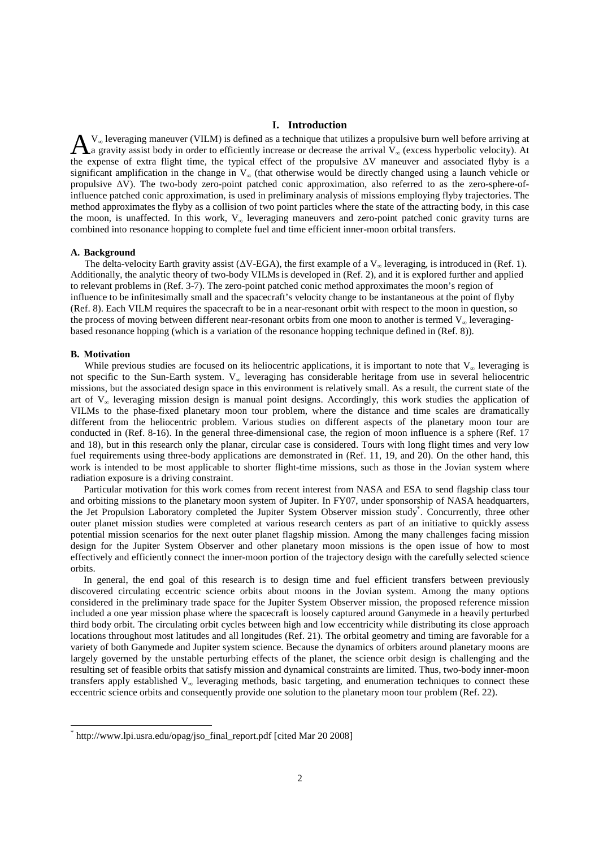## **I. Introduction**

 $V_{\infty}$  leveraging maneuver (VILM) is defined as a technique that utilizes a propulsive burn well before arriving at  $\Lambda_a$  gravity assist body in order to efficiently increase or decrease the arrival  $V_\infty$  (excess hyperbolic velocity). At  $\Lambda_a$ the expense of extra flight time, the typical effect of the propulsive ∆V maneuver and associated flyby is a significant amplification in the change in V<sub>∞</sub> (that otherwise would be directly changed using a launch vehicle or propulsive ∆V). The two-body zero-point patched conic approximation, also referred to as the zero-sphere-ofinfluence patched conic approximation, is used in preliminary analysis of missions employing flyby trajectories. The method approximates the flyby as a collision of two point particles where the state of the attracting body, in this case the moon, is unaffected. In this work,  $V_{\infty}$  leveraging maneuvers and zero-point patched conic gravity turns are combined into resonance hopping to complete fuel and time efficient inner-moon orbital transfers.

#### **A.** Background

The delta-velocity Earth gravity assist ( $\Delta V$ -EGA), the first example of a V<sub>∞</sub> leveraging, is introduced in (Ref. 1). Additionally, the analytic theory of two-body VILMsis developed in (Ref. 2), and it is explored further and applied to relevant problems in (Ref. 3-7). The zero-point patched conic method approximates the moon's region of influence to be infinitesimally small and the spacecraft's velocity change to be instantaneous at the point of flyby (Ref. 8). Each VILM requires the spacecraft to be in a near-resonant orbit with respect to the moon in question, so the process of moving between different near-resonant orbits from one moon to another is termed  $V_{\alpha}$  leveragingbased resonance hopping (which is a variation of the resonance hopping technique defined in (Ref. 8)).

#### **B. Motivation**

1

While previous studies are focused on its heliocentric applications, it is important to note that  $V_{\infty}$  leveraging is not specific to the Sun-Earth system. V∞ leveraging has considerable heritage from use in several heliocentric missions, but the associated design space in this environment is relatively small. As a result, the current state of the art of  $V_\infty$  leveraging mission design is manual point designs. Accordingly, this work studies the application of VILMs to the phase-fixed planetary moon tour problem, where the distance and time scales are dramatically different from the heliocentric problem. Various studies on different aspects of the planetary moon tour are conducted in (Ref. 8-16). In the general three-dimensional case, the region of moon influence is a sphere (Ref. 17 and 18), but in this research only the planar, circular case is considered. Tours with long flight times and very low fuel requirements using three-body applications are demonstrated in (Ref. 11, 19, and 20). On the other hand, this work is intended to be most applicable to shorter flight-time missions, such as those in the Jovian system where radiation exposure is a driving constraint.

Particular motivation for this work comes from recent interest from NASA and ESA to send flagship class tour and orbiting missions to the planetary moon system of Jupiter. In FY07, under sponsorship of NASA headquarters, the Jet Propulsion Laboratory completed the Jupiter System Observer mission study<sup>\*</sup>. Concurrently, three other outer planet mission studies were completed at various research centers as part of an initiative to quickly assess potential mission scenarios for the next outer planet flagship mission. Among the many challenges facing mission design for the Jupiter System Observer and other planetary moon missions is the open issue of how to most effectively and efficiently connect the inner-moon portion of the trajectory design with the carefully selected science orbits.

In general, the end goal of this research is to design time and fuel efficient transfers between previously discovered circulating eccentric science orbits about moons in the Jovian system. Among the many options considered in the preliminary trade space for the Jupiter System Observer mission, the proposed reference mission included a one year mission phase where the spacecraft is loosely captured around Ganymede in a heavily perturbed third body orbit. The circulating orbit cycles between high and low eccentricity while distributing its close approach locations throughout most latitudes and all longitudes (Ref. 21). The orbital geometry and timing are favorable for a variety of both Ganymede and Jupiter system science. Because the dynamics of orbiters around planetary moons are largely governed by the unstable perturbing effects of the planet, the science orbit design is challenging and the resulting set of feasible orbits that satisfy mission and dynamical constraints are limited. Thus, two-body inner-moon transfers apply established  $V_{\infty}$  leveraging methods, basic targeting, and enumeration techniques to connect these eccentric science orbits and consequently provide one solution to the planetary moon tour problem (Ref. 22).

<sup>\*</sup> http://www.lpi.usra.edu/opag/jso\_final\_report.pdf [cited Mar 20 2008]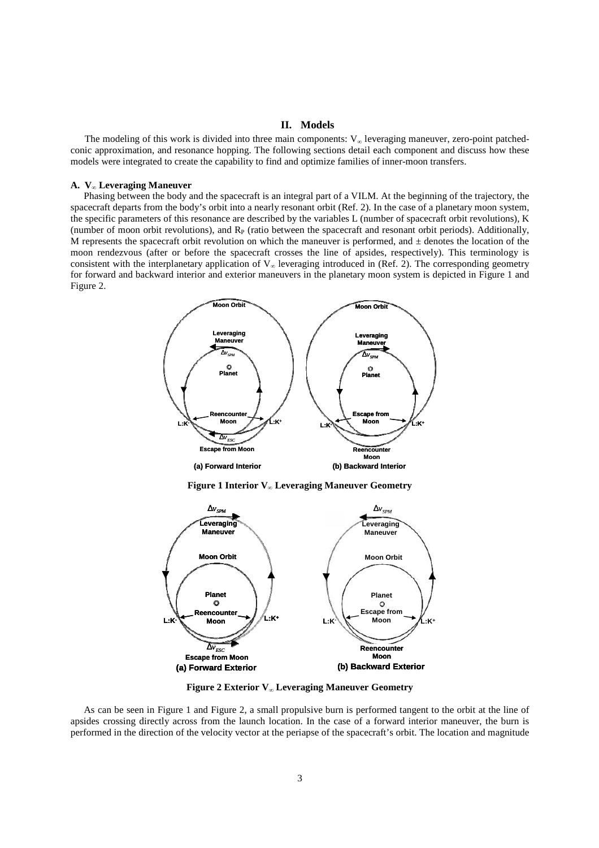## **II. Models**

The modeling of this work is divided into three main components:  $V_{\infty}$  leveraging maneuver, zero-point patchedconic approximation, and resonance hopping. The following sections detail each component and discuss how these models were integrated to create the capability to find and optimize families of inner-moon transfers.

#### **A. V∞ Leveraging Maneuver**

Phasing between the body and the spacecraft is an integral part of a VILM. At the beginning of the trajectory, the spacecraft departs from the body's orbit into a nearly resonant orbit (Ref. 2). In the case of a planetary moon system, the specific parameters of this resonance are described by the variables L (number of spacecraft orbit revolutions), K (number of moon orbit revolutions), and  $R<sub>P</sub>$  (ratio between the spacecraft and resonant orbit periods). Additionally, M represents the spacecraft orbit revolution on which the maneuver is performed, and  $\pm$  denotes the location of the moon rendezvous (after or before the spacecraft crosses the line of apsides, respectively). This terminology is consistent with the interplanetary application of  $V_{\infty}$  leveraging introduced in (Ref. 2). The corresponding geometry for forward and backward interior and exterior maneuvers in the planetary moon system is depicted in Figure 1 and Figure 2.



**Figure 1 Interior V∞ Leveraging Maneuver Geometry** 



**Figure 2 Exterior V∞ Leveraging Maneuver Geometry** 

As can be seen in Figure 1 and Figure 2, a small propulsive burn is performed tangent to the orbit at the line of apsides crossing directly across from the launch location. In the case of a forward interior maneuver, the burn is performed in the direction of the velocity vector at the periapse of the spacecraft's orbit. The location and magnitude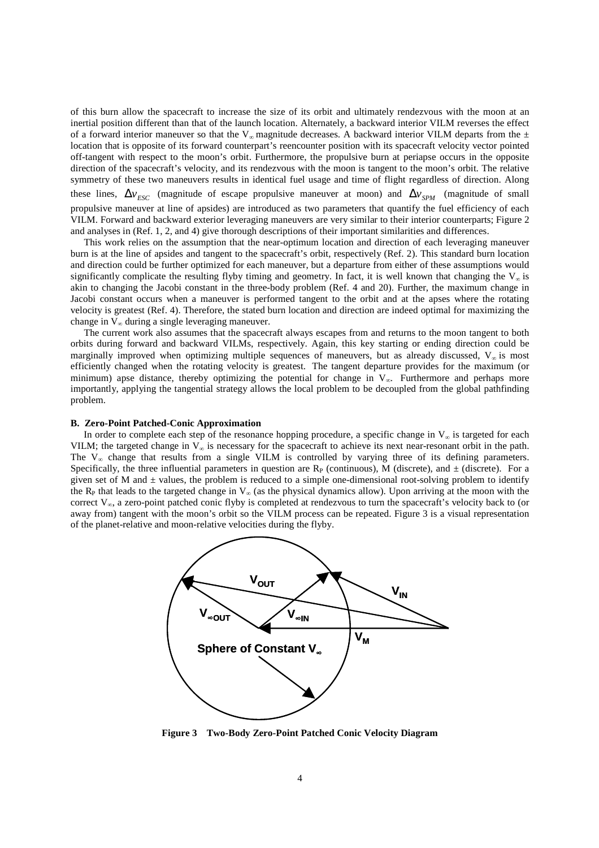of this burn allow the spacecraft to increase the size of its orbit and ultimately rendezvous with the moon at an inertial position different than that of the launch location. Alternately, a backward interior VILM reverses the effect of a forward interior maneuver so that the V<sub>∞</sub> magnitude decreases. A backward interior VILM departs from the  $\pm$ location that is opposite of its forward counterpart's reencounter position with its spacecraft velocity vector pointed off-tangent with respect to the moon's orbit. Furthermore, the propulsive burn at periapse occurs in the opposite direction of the spacecraft's velocity, and its rendezvous with the moon is tangent to the moon's orbit. The relative symmetry of these two maneuvers results in identical fuel usage and time of flight regardless of direction. Along these lines,  $\Delta v_{FSC}$  (magnitude of escape propulsive maneuver at moon) and  $\Delta v_{SPM}$  (magnitude of small propulsive maneuver at line of apsides) are introduced as two parameters that quantify the fuel efficiency of each VILM. Forward and backward exterior leveraging maneuvers are very similar to their interior counterparts; Figure 2 and analyses in (Ref. 1, 2, and 4) give thorough descriptions of their important similarities and differences.

This work relies on the assumption that the near-optimum location and direction of each leveraging maneuver burn is at the line of apsides and tangent to the spacecraft's orbit, respectively (Ref. 2). This standard burn location and direction could be further optimized for each maneuver, but a departure from either of these assumptions would significantly complicate the resulting flyby timing and geometry. In fact, it is well known that changing the  $V_{\infty}$  is akin to changing the Jacobi constant in the three-body problem (Ref. 4 and 20). Further, the maximum change in Jacobi constant occurs when a maneuver is performed tangent to the orbit and at the apses where the rotating velocity is greatest (Ref. 4). Therefore, the stated burn location and direction are indeed optimal for maximizing the change in  $V_{\infty}$  during a single leveraging maneuver.

The current work also assumes that the spacecraft always escapes from and returns to the moon tangent to both orbits during forward and backward VILMs, respectively. Again, this key starting or ending direction could be marginally improved when optimizing multiple sequences of maneuvers, but as already discussed,  $V_{\infty}$  is most efficiently changed when the rotating velocity is greatest. The tangent departure provides for the maximum (or minimum) apse distance, thereby optimizing the potential for change in  $V_{\infty}$ . Furthermore and perhaps more importantly, applying the tangential strategy allows the local problem to be decoupled from the global pathfinding problem.

#### **B. Zero-Point Patched-Conic Approximation**

In order to complete each step of the resonance hopping procedure, a specific change in  $V_{\infty}$  is targeted for each VILM; the targeted change in  $V_{\infty}$  is necessary for the spacecraft to achieve its next near-resonant orbit in the path. The  $V_{\infty}$  change that results from a single VILM is controlled by varying three of its defining parameters. Specifically, the three influential parameters in question are  $R_P$  (continuous), M (discrete), and  $\pm$  (discrete). For a given set of M and  $\pm$  values, the problem is reduced to a simple one-dimensional root-solving problem to identify the R<sub>P</sub> that leads to the targeted change in  $V_{\infty}$  (as the physical dynamics allow). Upon arriving at the moon with the correct  $V_{\infty}$ , a zero-point patched conic flyby is completed at rendezvous to turn the spacecraft's velocity back to (or away from) tangent with the moon's orbit so the VILM process can be repeated. Figure 3 is a visual representation of the planet-relative and moon-relative velocities during the flyby.



**Figure 3 Two-Body Zero-Point Patched Conic Velocity Diagram**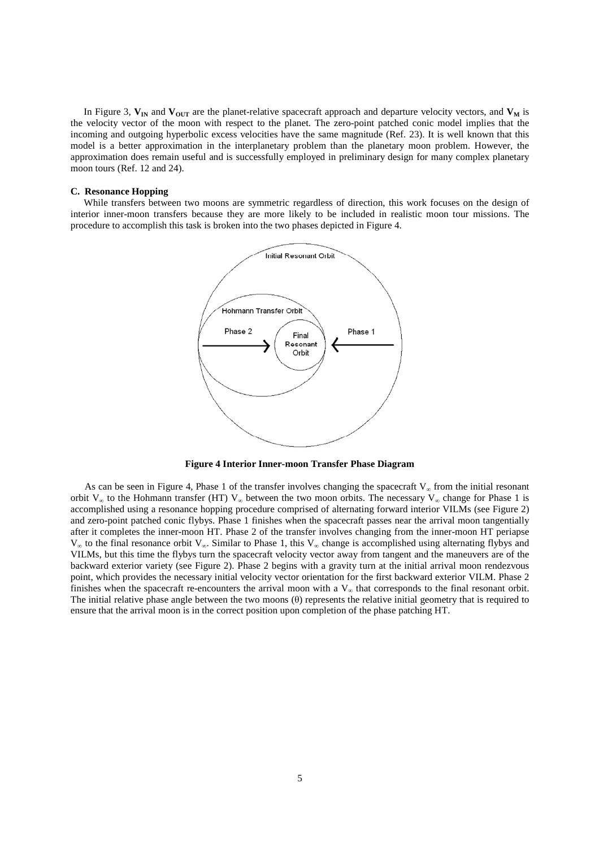In Figure 3,  $V_{IN}$  and  $V_{OUT}$  are the planet-relative spacecraft approach and departure velocity vectors, and  $V_M$  is the velocity vector of the moon with respect to the planet. The zero-point patched conic model implies that the incoming and outgoing hyperbolic excess velocities have the same magnitude (Ref. 23). It is well known that this model is a better approximation in the interplanetary problem than the planetary moon problem. However, the approximation does remain useful and is successfully employed in preliminary design for many complex planetary moon tours (Ref. 12 and 24).

#### **C. Resonance Hopping**

While transfers between two moons are symmetric regardless of direction, this work focuses on the design of interior inner-moon transfers because they are more likely to be included in realistic moon tour missions. The procedure to accomplish this task is broken into the two phases depicted in Figure 4.



**Figure 4 Interior Inner-moon Transfer Phase Diagram**

As can be seen in Figure 4, Phase 1 of the transfer involves changing the spacecraft  $V_{\infty}$  from the initial resonant orbit V<sub>∞</sub> to the Hohmann transfer (HT) V<sub>∞</sub> between the two moon orbits. The necessary V<sub>∞</sub> change for Phase 1 is accomplished using a resonance hopping procedure comprised of alternating forward interior VILMs (see Figure 2) and zero-point patched conic flybys. Phase 1 finishes when the spacecraft passes near the arrival moon tangentially after it completes the inner-moon HT. Phase 2 of the transfer involves changing from the inner-moon HT periapse V∞ to the final resonance orbit V∞. Similar to Phase 1, this V∞ change is accomplished using alternating flybys and VILMs, but this time the flybys turn the spacecraft velocity vector away from tangent and the maneuvers are of the backward exterior variety (see Figure 2). Phase 2 begins with a gravity turn at the initial arrival moon rendezvous point, which provides the necessary initial velocity vector orientation for the first backward exterior VILM. Phase 2 finishes when the spacecraft re-encounters the arrival moon with a  $V_{\infty}$  that corresponds to the final resonant orbit. The initial relative phase angle between the two moons (θ) represents the relative initial geometry that is required to ensure that the arrival moon is in the correct position upon completion of the phase patching HT.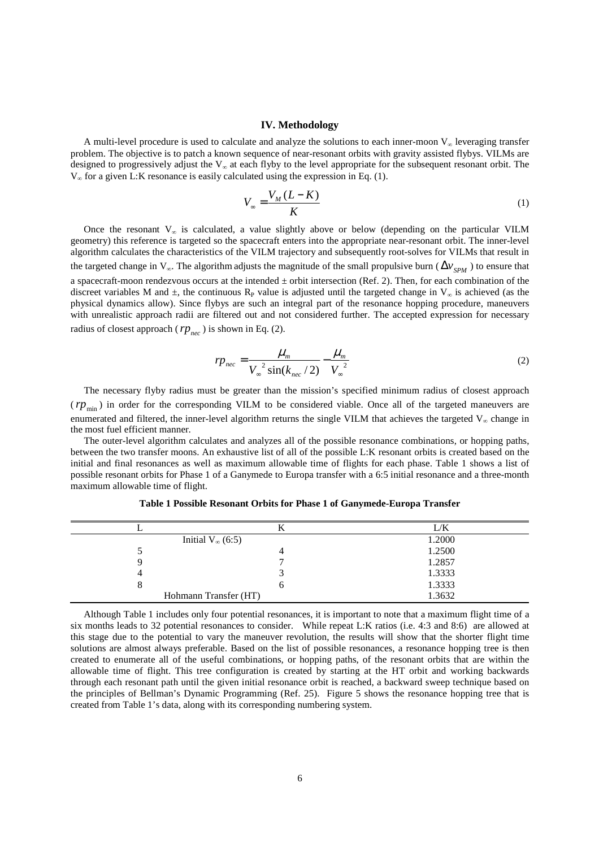#### **IV. Methodology**

A multi-level procedure is used to calculate and analyze the solutions to each inner-moon  $V_{\infty}$  leveraging transfer problem. The objective is to patch a known sequence of near-resonant orbits with gravity assisted flybys. VILMs are designed to progressively adjust the  $V_{\infty}$  at each flyby to the level appropriate for the subsequent resonant orbit. The  $V_{\infty}$  for a given L:K resonance is easily calculated using the expression in Eq. (1).

$$
V_{\infty} = \frac{V_M (L - K)}{K} \tag{1}
$$

Once the resonant  $V_{\infty}$  is calculated, a value slightly above or below (depending on the particular VILM geometry) this reference is targeted so the spacecraft enters into the appropriate near-resonant orbit. The inner-level algorithm calculates the characteristics of the VILM trajectory and subsequently root-solves for VILMs that result in the targeted change in  $V_{\infty}$ . The algorithm adjusts the magnitude of the small propulsive burn ( $\Delta v_{SPM}$ ) to ensure that a spacecraft-moon rendezvous occurs at the intended  $\pm$  orbit intersection (Ref. 2). Then, for each combination of the discreet variables M and  $\pm$ , the continuous R<sub>P</sub> value is adjusted until the targeted change in V<sub>∞</sub> is achieved (as the physical dynamics allow). Since flybys are such an integral part of the resonance hopping procedure, maneuvers with unrealistic approach radii are filtered out and not considered further. The accepted expression for necessary radius of closest approach ( $rp_{\text{rec}}$ ) is shown in Eq. (2).

$$
r p_{\text{nec}} = \frac{\mu_{\text{m}}}{V_{\infty}^{2} \sin(k_{\text{nec}}/2)} - \frac{\mu_{\text{m}}}{V_{\infty}^{2}}
$$
 (2)

The necessary flyby radius must be greater than the mission's specified minimum radius of closest approach  $r(p_{\min})$  in order for the corresponding VILM to be considered viable. Once all of the targeted maneuvers are enumerated and filtered, the inner-level algorithm returns the single VILM that achieves the targeted  $V_{\infty}$  change in the most fuel efficient manner.

The outer-level algorithm calculates and analyzes all of the possible resonance combinations, or hopping paths, between the two transfer moons. An exhaustive list of all of the possible L:K resonant orbits is created based on the initial and final resonances as well as maximum allowable time of flights for each phase. Table 1 shows a list of possible resonant orbits for Phase 1 of a Ganymede to Europa transfer with a 6:5 initial resonance and a three-month maximum allowable time of flight.

|                           | L/K    |
|---------------------------|--------|
| Initial $V_{\infty}(6:5)$ | 1.2000 |
|                           | 1.2500 |
|                           | 1.2857 |
|                           | 1.3333 |
| O                         | 1.3333 |
| Hohmann Transfer (HT)     | 1.3632 |

**Table 1 Possible Resonant Orbits for Phase 1 of Ganymede-Europa Transfer** 

Although Table 1 includes only four potential resonances, it is important to note that a maximum flight time of a six months leads to 32 potential resonances to consider. While repeat L:K ratios (i.e. 4:3 and 8:6) are allowed at this stage due to the potential to vary the maneuver revolution, the results will show that the shorter flight time solutions are almost always preferable. Based on the list of possible resonances, a resonance hopping tree is then created to enumerate all of the useful combinations, or hopping paths, of the resonant orbits that are within the allowable time of flight. This tree configuration is created by starting at the HT orbit and working backwards through each resonant path until the given initial resonance orbit is reached, a backward sweep technique based on the principles of Bellman's Dynamic Programming (Ref. 25). Figure 5 shows the resonance hopping tree that is created from Table 1's data, along with its corresponding numbering system.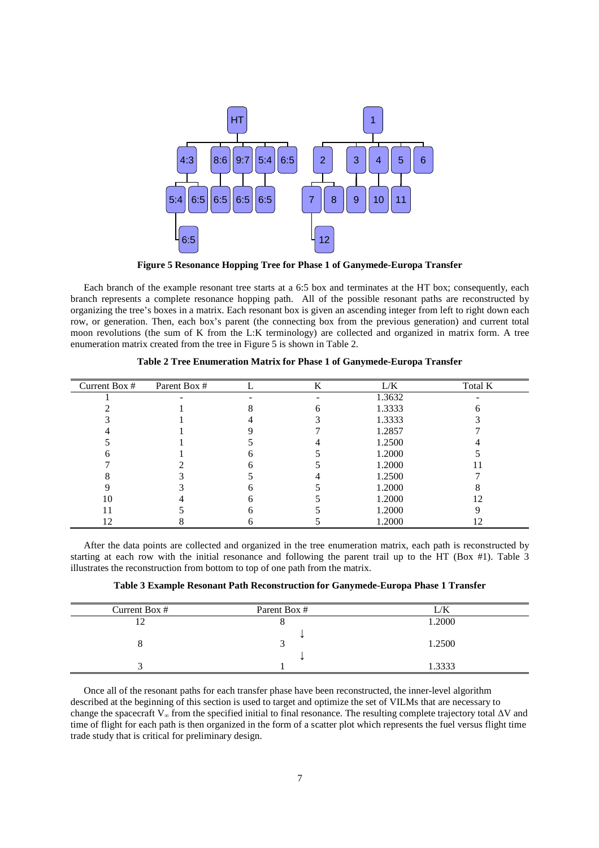

**Figure 5 Resonance Hopping Tree for Phase 1 of Ganymede-Europa Transfer** 

Each branch of the example resonant tree starts at a 6:5 box and terminates at the HT box; consequently, each branch represents a complete resonance hopping path. All of the possible resonant paths are reconstructed by organizing the tree's boxes in a matrix. Each resonant box is given an ascending integer from left to right down each row, or generation. Then, each box's parent (the connecting box from the previous generation) and current total moon revolutions (the sum of K from the L:K terminology) are collected and organized in matrix form. A tree enumeration matrix created from the tree in Figure 5 is shown in Table 2.

| Current Box # | Parent Box # | K | L/K    | Total K |
|---------------|--------------|---|--------|---------|
|               |              |   | 1.3632 |         |
|               |              |   | 1.3333 |         |
|               |              |   | 1.3333 |         |
|               |              |   | 1.2857 |         |
|               |              |   | 1.2500 |         |
|               |              |   | 1.2000 |         |
|               |              |   | 1.2000 |         |
|               |              |   | 1.2500 |         |
|               |              |   | 1.2000 |         |
| 10            |              |   | 1.2000 | 12      |
|               |              |   | 1.2000 |         |
|               |              |   | 1.2000 |         |

**Table 2 Tree Enumeration Matrix for Phase 1 of Ganymede-Europa Transfer** 

After the data points are collected and organized in the tree enumeration matrix, each path is reconstructed by starting at each row with the initial resonance and following the parent trail up to the HT (Box #1). Table 3 illustrates the reconstruction from bottom to top of one path from the matrix.

**Table 3 Example Resonant Path Reconstruction for Ganymede-Europa Phase 1 Transfer** 

| Current Box # | Parent Box # | /K     |
|---------------|--------------|--------|
|               |              | 1.2000 |
|               |              |        |
|               |              | 1.2500 |
|               |              |        |
|               |              | 1.3333 |

Once all of the resonant paths for each transfer phase have been reconstructed, the inner-level algorithm described at the beginning of this section is used to target and optimize the set of VILMs that are necessary to change the spacecraft V∞ from the specified initial to final resonance. The resulting complete trajectory total ∆V and time of flight for each path is then organized in the form of a scatter plot which represents the fuel versus flight time trade study that is critical for preliminary design.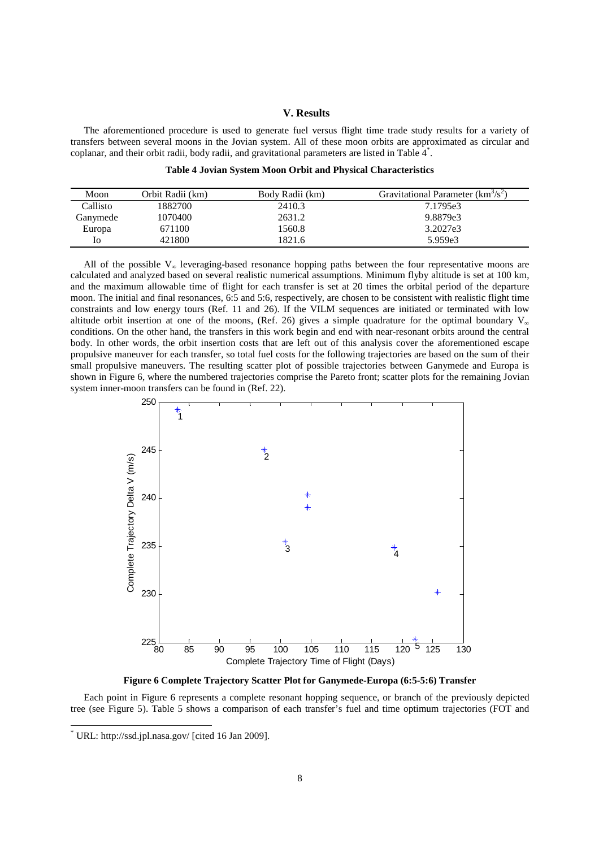## **V. Results**

The aforementioned procedure is used to generate fuel versus flight time trade study results for a variety of transfers between several moons in the Jovian system. All of these moon orbits are approximated as circular and coplanar, and their orbit radii, body radii, and gravitational parameters are listed in Table 4\* .

|  |  |  | Table 4 Jovian System Moon Orbit and Physical Characteristics |
|--|--|--|---------------------------------------------------------------|
|--|--|--|---------------------------------------------------------------|

| Moon     | Orbit Radii (km) | Body Radii (km) | Gravitational Parameter $(km3/s2)$ |
|----------|------------------|-----------------|------------------------------------|
| Callisto | 1882700          | 2410.3          | 7.1795e3                           |
| Ganymede | 1070400          | 2631.2          | 9.8879e3                           |
| Europa   | 671100           | 1560.8          | 3.2027e3                           |
| IО       | 421800           | 1821.6          | 5.959e3                            |

All of the possible  $V_{\infty}$  leveraging-based resonance hopping paths between the four representative moons are calculated and analyzed based on several realistic numerical assumptions. Minimum flyby altitude is set at 100 km, and the maximum allowable time of flight for each transfer is set at 20 times the orbital period of the departure moon. The initial and final resonances, 6:5 and 5:6, respectively, are chosen to be consistent with realistic flight time constraints and low energy tours (Ref. 11 and 26). If the VILM sequences are initiated or terminated with low altitude orbit insertion at one of the moons, (Ref. 26) gives a simple quadrature for the optimal boundary  $V_{\infty}$ conditions. On the other hand, the transfers in this work begin and end with near-resonant orbits around the central body. In other words, the orbit insertion costs that are left out of this analysis cover the aforementioned escape propulsive maneuver for each transfer, so total fuel costs for the following trajectories are based on the sum of their small propulsive maneuvers. The resulting scatter plot of possible trajectories between Ganymede and Europa is shown in Figure 6, where the numbered trajectories comprise the Pareto front; scatter plots for the remaining Jovian system inner-moon transfers can be found in (Ref. 22).



**Figure 6 Complete Trajectory Scatter Plot for Ganymede-Europa (6:5-5:6) Transfer** 

Each point in Figure 6 represents a complete resonant hopping sequence, or branch of the previously depicted tree (see Figure 5). Table 5 shows a comparison of each transfer's fuel and time optimum trajectories (FOT and

1

<sup>\*</sup> URL: http://ssd.jpl.nasa.gov/ [cited 16 Jan 2009].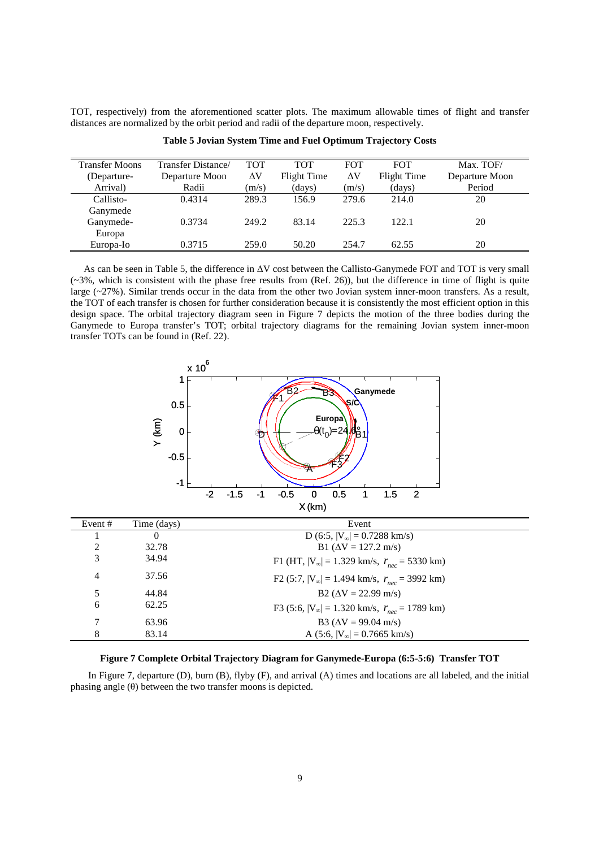TOT, respectively) from the aforementioned scatter plots. The maximum allowable times of flight and transfer distances are normalized by the orbit period and radii of the departure moon, respectively.

| <b>Transfer Moons</b> | Transfer Distance/ | <b>TOT</b> | <b>TOT</b>  | <b>FOT</b> | <b>FOT</b>  | Max. TOF/      |
|-----------------------|--------------------|------------|-------------|------------|-------------|----------------|
| (Departure-           | Departure Moon     | ΔV         | Flight Time | ΔV         | Flight Time | Departure Moon |
| Arrival)              | Radii              | (m/s)      | (days)      | (m/s)      | (days)      | Period         |
| Callisto-             | 0.4314             | 289.3      | 156.9       | 279.6      | 214.0       | 20             |
| Ganymede              |                    |            |             |            |             |                |
| Ganymede-             | 0.3734             | 249.2      | 83.14       | 225.3      | 122.1       | 20             |
| Europa                |                    |            |             |            |             |                |
| Europa-Io             | 0.3715             | 259.0      | 50.20       | 254.7      | 62.55       | 20             |

**Table 5 Jovian System Time and Fuel Optimum Trajectory Costs** 

As can be seen in Table 5, the difference in ∆V cost between the Callisto-Ganymede FOT and TOT is very small  $(-3\%$ , which is consistent with the phase free results from (Ref. 26)), but the difference in time of flight is quite large (~27%). Similar trends occur in the data from the other two Jovian system inner-moon transfers. As a result, the TOT of each transfer is chosen for further consideration because it is consistently the most efficient option in this design space. The orbital trajectory diagram seen in Figure 7 depicts the motion of the three bodies during the Ganymede to Europa transfer's TOT; orbital trajectory diagrams for the remaining Jovian system inner-moon transfer TOTs can be found in (Ref. 22).



| Event # | Time (days) | Event                                                             |
|---------|-------------|-------------------------------------------------------------------|
|         | $\theta$    | D (6:5, $ V_{\infty}  = 0.7288$ km/s)                             |
| 2       | 32.78       | B1 ( $\Delta V = 127.2$ m/s)                                      |
| 3       | 34.94       | F1 (HT, $ V_{\infty} $ = 1.329 km/s, $r_{\text{rec}}$ = 5330 km)  |
| 4       | 37.56       | F2 (5:7, $ V_{\infty} $ = 1.494 km/s, $r_{\text{rec}}$ = 3992 km) |
| 5       | 44.84       | $B2 (AV = 22.99 m/s)$                                             |
| 6       | 62.25       | F3 (5:6, $ V_{\infty} $ = 1.320 km/s, $r_{\text{rec}}$ = 1789 km) |
| 7       | 63.96       | B3 ( $\Delta V = 99.04$ m/s)                                      |
| 8       | 83.14       | A (5:6, $ V_{\infty} $ = 0.7665 km/s)                             |

**Figure 7 Complete Orbital Trajectory Diagram for Ganymede-Europa (6:5-5:6) Transfer TOT** 

In Figure 7, departure (D), burn (B), flyby (F), and arrival (A) times and locations are all labeled, and the initial phasing angle (θ) between the two transfer moons is depicted.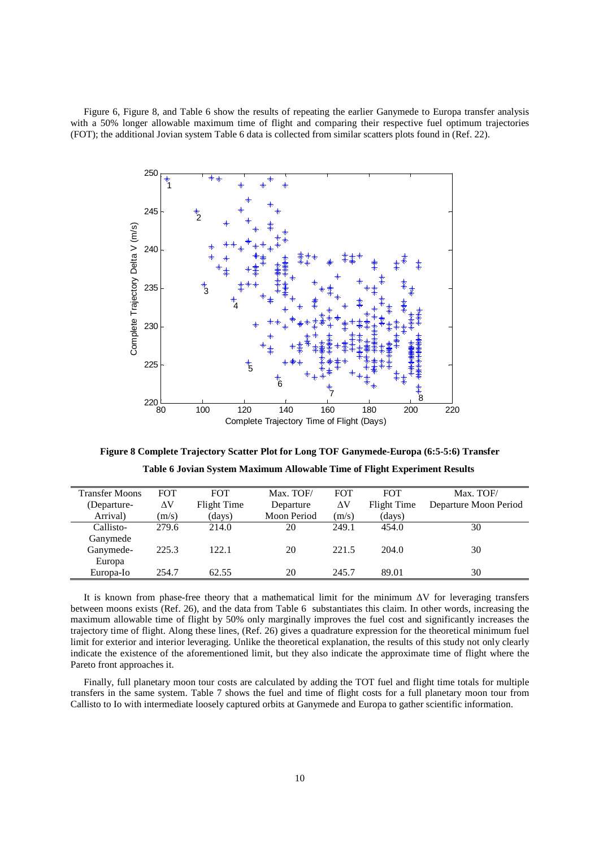Figure 6, Figure 8, and Table 6 show the results of repeating the earlier Ganymede to Europa transfer analysis with a 50% longer allowable maximum time of flight and comparing their respective fuel optimum trajectories (FOT); the additional Jovian system Table 6 data is collected from similar scatters plots found in (Ref. 22).



**Figure 8 Complete Trajectory Scatter Plot for Long TOF Ganymede-Europa (6:5-5:6) Transfer Table 6 Jovian System Maximum Allowable Time of Flight Experiment Results** 

| <b>Transfer Moons</b> | <b>FOT</b> | <b>FOT</b>  | Max. TOF/   | <b>FOT</b> | <b>FOT</b>  | Max. TOF/             |
|-----------------------|------------|-------------|-------------|------------|-------------|-----------------------|
| (Departure-           | $\Delta V$ | Flight Time | Departure   | $\Delta V$ | Flight Time | Departure Moon Period |
| Arrival)              | (m/s)      | (days)      | Moon Period | (m/s)      | (days)      |                       |
| Callisto-             | 279.6      | 214.0       | 20          | 249.1      | 454.0       | 30                    |
| Ganymede              |            |             |             |            |             |                       |
| Ganymede-             | 225.3      | 122.1       | 20          | 221.5      | 204.0       | 30                    |
| Europa                |            |             |             |            |             |                       |
| Europa-Io             | 254.7      | 62.55       | 20          | 245.7      | 89.01       | 30                    |
|                       |            |             |             |            |             |                       |

It is known from phase-free theory that a mathematical limit for the minimum ∆V for leveraging transfers between moons exists (Ref. 26), and the data from Table 6 substantiates this claim. In other words, increasing the maximum allowable time of flight by 50% only marginally improves the fuel cost and significantly increases the trajectory time of flight. Along these lines, (Ref. 26) gives a quadrature expression for the theoretical minimum fuel limit for exterior and interior leveraging. Unlike the theoretical explanation, the results of this study not only clearly indicate the existence of the aforementioned limit, but they also indicate the approximate time of flight where the Pareto front approaches it.

Finally, full planetary moon tour costs are calculated by adding the TOT fuel and flight time totals for multiple transfers in the same system. Table 7 shows the fuel and time of flight costs for a full planetary moon tour from Callisto to Io with intermediate loosely captured orbits at Ganymede and Europa to gather scientific information.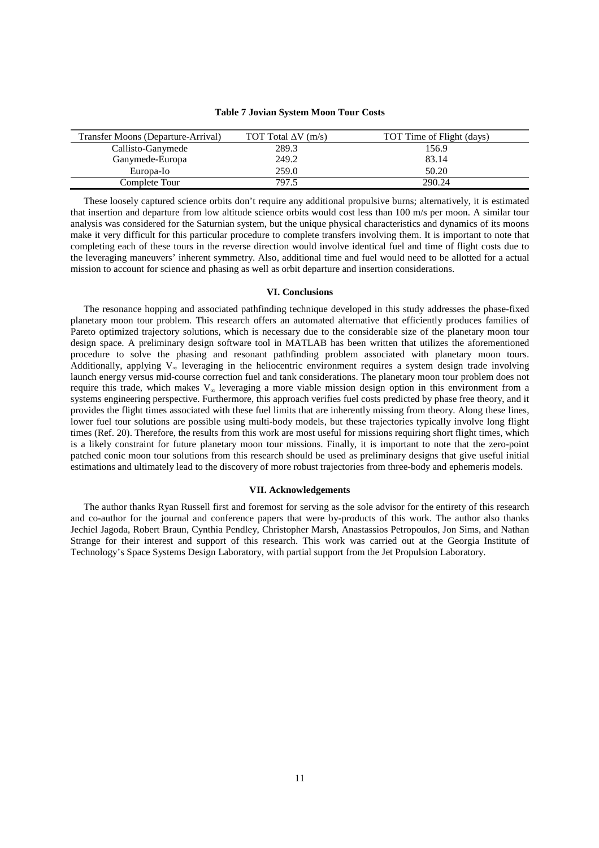| Transfer Moons (Departure-Arrival) | TOT Total $\Delta V$ (m/s) | TOT Time of Flight (days) |
|------------------------------------|----------------------------|---------------------------|
| Callisto-Ganymede                  | 289.3                      | 156.9                     |
| Ganymede-Europa                    | 249.2                      | 83.14                     |
| Europa-Io                          | 259.0                      | 50.20                     |
| Complete Tour                      | 797.5                      | 290.24                    |

#### **Table 7 Jovian System Moon Tour Costs**

These loosely captured science orbits don't require any additional propulsive burns; alternatively, it is estimated that insertion and departure from low altitude science orbits would cost less than 100 m/s per moon. A similar tour analysis was considered for the Saturnian system, but the unique physical characteristics and dynamics of its moons make it very difficult for this particular procedure to complete transfers involving them. It is important to note that completing each of these tours in the reverse direction would involve identical fuel and time of flight costs due to the leveraging maneuvers' inherent symmetry. Also, additional time and fuel would need to be allotted for a actual mission to account for science and phasing as well as orbit departure and insertion considerations.

## **VI. Conclusions**

The resonance hopping and associated pathfinding technique developed in this study addresses the phase-fixed planetary moon tour problem. This research offers an automated alternative that efficiently produces families of Pareto optimized trajectory solutions, which is necessary due to the considerable size of the planetary moon tour design space. A preliminary design software tool in MATLAB has been written that utilizes the aforementioned procedure to solve the phasing and resonant pathfinding problem associated with planetary moon tours. Additionally, applying  $V_{\infty}$  leveraging in the heliocentric environment requires a system design trade involving launch energy versus mid-course correction fuel and tank considerations. The planetary moon tour problem does not require this trade, which makes V∞ leveraging a more viable mission design option in this environment from a systems engineering perspective. Furthermore, this approach verifies fuel costs predicted by phase free theory, and it provides the flight times associated with these fuel limits that are inherently missing from theory. Along these lines, lower fuel tour solutions are possible using multi-body models, but these trajectories typically involve long flight times (Ref. 20). Therefore, the results from this work are most useful for missions requiring short flight times, which is a likely constraint for future planetary moon tour missions. Finally, it is important to note that the zero-point patched conic moon tour solutions from this research should be used as preliminary designs that give useful initial estimations and ultimately lead to the discovery of more robust trajectories from three-body and ephemeris models.

## **VII. Acknowledgements**

The author thanks Ryan Russell first and foremost for serving as the sole advisor for the entirety of this research and co-author for the journal and conference papers that were by-products of this work. The author also thanks Jechiel Jagoda, Robert Braun, Cynthia Pendley, Christopher Marsh, Anastassios Petropoulos, Jon Sims, and Nathan Strange for their interest and support of this research. This work was carried out at the Georgia Institute of Technology's Space Systems Design Laboratory, with partial support from the Jet Propulsion Laboratory.